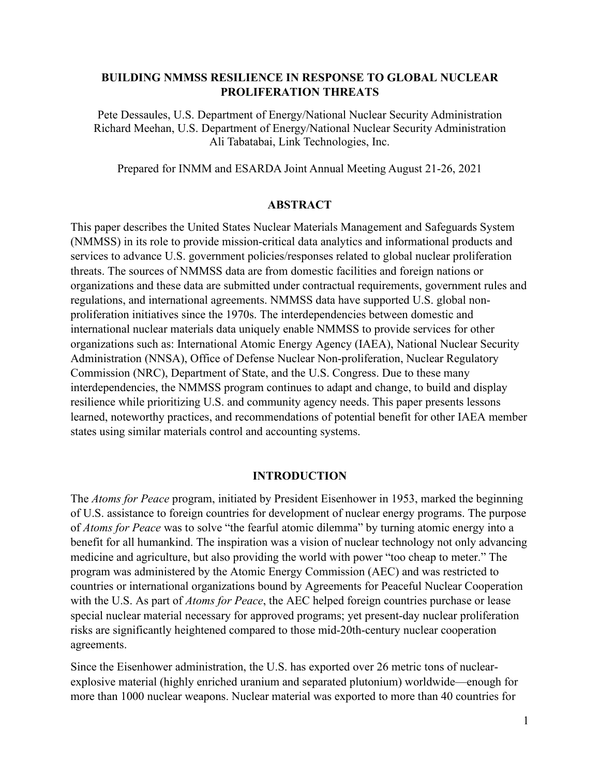#### **BUILDING NMMSS RESILIENCE IN RESPONSE TO GLOBAL NUCLEAR PROLIFERATION THREATS**

Pete Dessaules, U.S. Department of Energy/National Nuclear Security Administration Richard Meehan, U.S. Department of Energy/National Nuclear Security Administration Ali Tabatabai, Link Technologies, Inc.

Prepared for INMM and ESARDA Joint Annual Meeting August 21-26, 2021

#### **ABSTRACT**

This paper describes the United States Nuclear Materials Management and Safeguards System (NMMSS) in its role to provide mission-critical data analytics and informational products and services to advance U.S. government policies/responses related to global nuclear proliferation threats. The sources of NMMSS data are from domestic facilities and foreign nations or organizations and these data are submitted under contractual requirements, government rules and regulations, and international agreements. NMMSS data have supported U.S. global nonproliferation initiatives since the 1970s. The interdependencies between domestic and international nuclear materials data uniquely enable NMMSS to provide services for other organizations such as: International Atomic Energy Agency (IAEA), National Nuclear Security Administration (NNSA), Office of Defense Nuclear Non-proliferation, Nuclear Regulatory Commission (NRC), Department of State, and the U.S. Congress. Due to these many interdependencies, the NMMSS program continues to adapt and change, to build and display resilience while prioritizing U.S. and community agency needs. This paper presents lessons learned, noteworthy practices, and recommendations of potential benefit for other IAEA member states using similar materials control and accounting systems.

#### **INTRODUCTION**

The *Atoms for Peace* program, initiated by President Eisenhower in 1953, marked the beginning of U.S. assistance to foreign countries for development of nuclear energy programs. The purpose of *Atoms for Peace* was to solve "the fearful atomic dilemma" by turning atomic energy into a benefit for all humankind. The inspiration was a vision of nuclear technology not only advancing medicine and agriculture, but also providing the world with power "too cheap to meter." The program was administered by the Atomic Energy Commission (AEC) and was restricted to countries or international organizations bound by Agreements for Peaceful Nuclear Cooperation with the U.S. As part of *Atoms for Peace*, the AEC helped foreign countries purchase or lease special nuclear material necessary for approved programs; yet present-day nuclear proliferation risks are significantly heightened compared to those mid-20th-century nuclear cooperation agreements.

Since the Eisenhower administration, the U.S. has exported over 26 metric tons of nuclearexplosive material (highly enriched uranium and separated plutonium) worldwide—enough for more than 1000 nuclear weapons. Nuclear material was exported to more than 40 countries for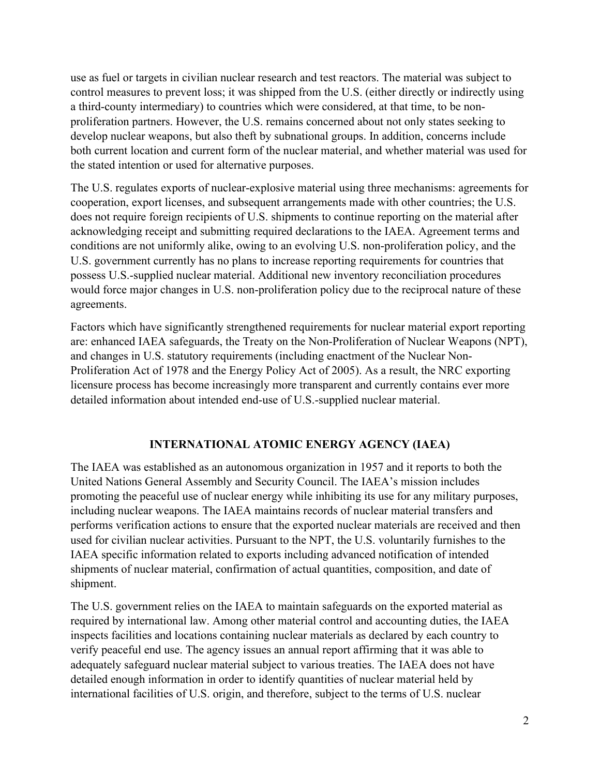use as fuel or targets in civilian nuclear research and test reactors. The material was subject to control measures to prevent loss; it was shipped from the U.S. (either directly or indirectly using a third-county intermediary) to countries which were considered, at that time, to be nonproliferation partners. However, the U.S. remains concerned about not only states seeking to develop nuclear weapons, but also theft by subnational groups. In addition, concerns include both current location and current form of the nuclear material, and whether material was used for the stated intention or used for alternative purposes.

The U.S. regulates exports of nuclear-explosive material using three mechanisms: agreements for cooperation, export licenses, and subsequent arrangements made with other countries; the U.S. does not require foreign recipients of U.S. shipments to continue reporting on the material after acknowledging receipt and submitting required declarations to the IAEA. Agreement terms and conditions are not uniformly alike, owing to an evolving U.S. non-proliferation policy, and the U.S. government currently has no plans to increase reporting requirements for countries that possess U.S.-supplied nuclear material. Additional new inventory reconciliation procedures would force major changes in U.S. non-proliferation policy due to the reciprocal nature of these agreements.

Factors which have significantly strengthened requirements for nuclear material export reporting are: enhanced IAEA safeguards, the Treaty on the Non-Proliferation of Nuclear Weapons (NPT), and changes in U.S. statutory requirements (including enactment of the Nuclear Non-Proliferation Act of 1978 and the Energy Policy Act of 2005). As a result, the NRC exporting licensure process has become increasingly more transparent and currently contains ever more detailed information about intended end-use of U.S.-supplied nuclear material.

### **INTERNATIONAL ATOMIC ENERGY AGENCY (IAEA)**

The IAEA was established as an autonomous organization in 1957 and it reports to both the United Nations General Assembly and Security Council. The IAEA's mission includes promoting the peaceful use of nuclear energy while inhibiting its use for any military purposes, including nuclear weapons. The IAEA maintains records of nuclear material transfers and performs verification actions to ensure that the exported nuclear materials are received and then used for civilian nuclear activities. Pursuant to the NPT, the U.S. voluntarily furnishes to the IAEA specific information related to exports including advanced notification of intended shipments of nuclear material, confirmation of actual quantities, composition, and date of shipment.

The U.S. government relies on the IAEA to maintain safeguards on the exported material as required by international law. Among other material control and accounting duties, the IAEA inspects facilities and locations containing nuclear materials as declared by each country to verify peaceful end use. The agency issues an annual report affirming that it was able to adequately safeguard nuclear material subject to various treaties. The IAEA does not have detailed enough information in order to identify quantities of nuclear material held by international facilities of U.S. origin, and therefore, subject to the terms of U.S. nuclear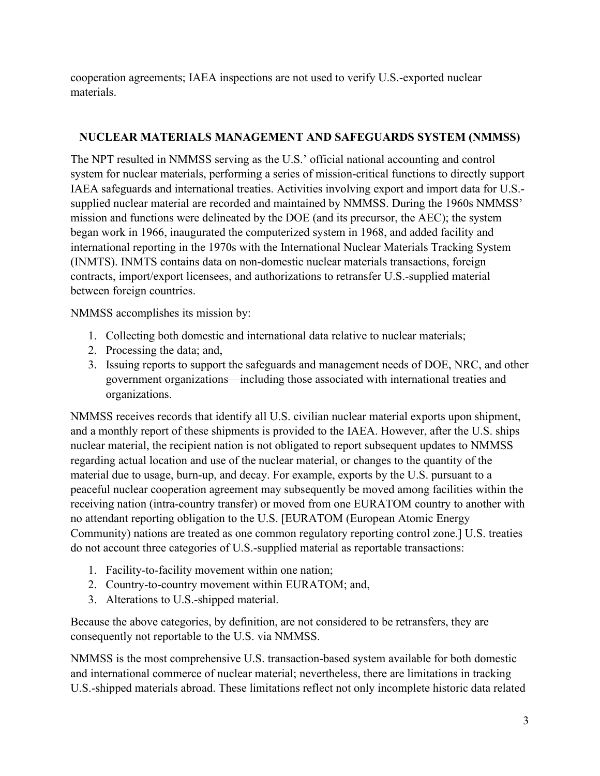cooperation agreements; IAEA inspections are not used to verify U.S.-exported nuclear materials.

## **NUCLEAR MATERIALS MANAGEMENT AND SAFEGUARDS SYSTEM (NMMSS)**

The NPT resulted in NMMSS serving as the U.S.' official national accounting and control system for nuclear materials, performing a series of mission-critical functions to directly support IAEA safeguards and international treaties. Activities involving export and import data for U.S. supplied nuclear material are recorded and maintained by NMMSS. During the 1960s NMMSS' mission and functions were delineated by the DOE (and its precursor, the AEC); the system began work in 1966, inaugurated the computerized system in 1968, and added facility and international reporting in the 1970s with the International Nuclear Materials Tracking System (INMTS). INMTS contains data on non-domestic nuclear materials transactions, foreign contracts, import/export licensees, and authorizations to retransfer U.S.-supplied material between foreign countries.

NMMSS accomplishes its mission by:

- 1. Collecting both domestic and international data relative to nuclear materials;
- 2. Processing the data; and,
- 3. Issuing reports to support the safeguards and management needs of DOE, NRC, and other government organizations—including those associated with international treaties and organizations.

NMMSS receives records that identify all U.S. civilian nuclear material exports upon shipment, and a monthly report of these shipments is provided to the IAEA. However, after the U.S. ships nuclear material, the recipient nation is not obligated to report subsequent updates to NMMSS regarding actual location and use of the nuclear material, or changes to the quantity of the material due to usage, burn-up, and decay. For example, exports by the U.S. pursuant to a peaceful nuclear cooperation agreement may subsequently be moved among facilities within the receiving nation (intra-country transfer) or moved from one EURATOM country to another with no attendant reporting obligation to the U.S. [EURATOM (European Atomic Energy Community) nations are treated as one common regulatory reporting control zone.] U.S. treaties do not account three categories of U.S.-supplied material as reportable transactions:

- 1. Facility-to-facility movement within one nation;
- 2. Country-to-country movement within EURATOM; and,
- 3. Alterations to U.S.-shipped material.

Because the above categories, by definition, are not considered to be retransfers, they are consequently not reportable to the U.S. via NMMSS.

NMMSS is the most comprehensive U.S. transaction-based system available for both domestic and international commerce of nuclear material; nevertheless, there are limitations in tracking U.S.-shipped materials abroad. These limitations reflect not only incomplete historic data related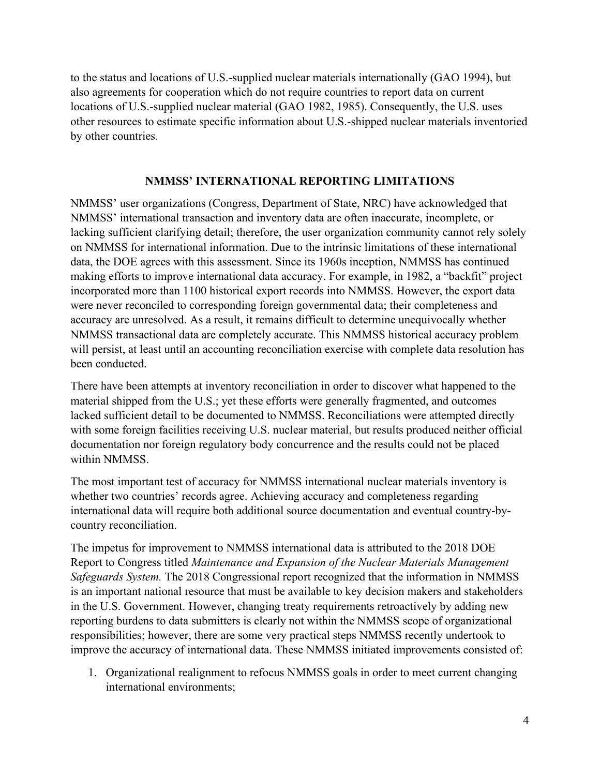to the status and locations of U.S.-supplied nuclear materials internationally (GAO 1994), but also agreements for cooperation which do not require countries to report data on current locations of U.S.-supplied nuclear material (GAO 1982, 1985). Consequently, the U.S. uses other resources to estimate specific information about U.S.-shipped nuclear materials inventoried by other countries.

#### **NMMSS' INTERNATIONAL REPORTING LIMITATIONS**

NMMSS' user organizations (Congress, Department of State, NRC) have acknowledged that NMMSS' international transaction and inventory data are often inaccurate, incomplete, or lacking sufficient clarifying detail; therefore, the user organization community cannot rely solely on NMMSS for international information. Due to the intrinsic limitations of these international data, the DOE agrees with this assessment. Since its 1960s inception, NMMSS has continued making efforts to improve international data accuracy. For example, in 1982, a "backfit" project incorporated more than 1100 historical export records into NMMSS. However, the export data were never reconciled to corresponding foreign governmental data; their completeness and accuracy are unresolved. As a result, it remains difficult to determine unequivocally whether NMMSS transactional data are completely accurate. This NMMSS historical accuracy problem will persist, at least until an accounting reconciliation exercise with complete data resolution has been conducted.

There have been attempts at inventory reconciliation in order to discover what happened to the material shipped from the U.S.; yet these efforts were generally fragmented, and outcomes lacked sufficient detail to be documented to NMMSS. Reconciliations were attempted directly with some foreign facilities receiving U.S. nuclear material, but results produced neither official documentation nor foreign regulatory body concurrence and the results could not be placed within NMMSS.

The most important test of accuracy for NMMSS international nuclear materials inventory is whether two countries' records agree. Achieving accuracy and completeness regarding international data will require both additional source documentation and eventual country-bycountry reconciliation.

The impetus for improvement to NMMSS international data is attributed to the 2018 DOE Report to Congress titled *Maintenance and Expansion of the Nuclear Materials Management Safeguards System.* The 2018 Congressional report recognized that the information in NMMSS is an important national resource that must be available to key decision makers and stakeholders in the U.S. Government. However, changing treaty requirements retroactively by adding new reporting burdens to data submitters is clearly not within the NMMSS scope of organizational responsibilities; however, there are some very practical steps NMMSS recently undertook to improve the accuracy of international data. These NMMSS initiated improvements consisted of:

1. Organizational realignment to refocus NMMSS goals in order to meet current changing international environments;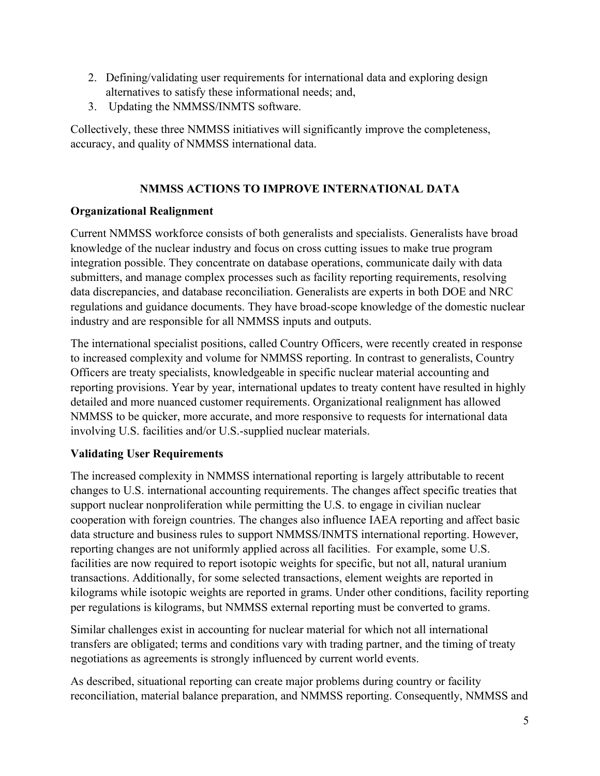- 2. Defining/validating user requirements for international data and exploring design alternatives to satisfy these informational needs; and,
- 3. Updating the NMMSS/INMTS software.

Collectively, these three NMMSS initiatives will significantly improve the completeness, accuracy, and quality of NMMSS international data.

## **NMMSS ACTIONS TO IMPROVE INTERNATIONAL DATA**

## **Organizational Realignment**

Current NMMSS workforce consists of both generalists and specialists. Generalists have broad knowledge of the nuclear industry and focus on cross cutting issues to make true program integration possible. They concentrate on database operations, communicate daily with data submitters, and manage complex processes such as facility reporting requirements, resolving data discrepancies, and database reconciliation. Generalists are experts in both DOE and NRC regulations and guidance documents. They have broad-scope knowledge of the domestic nuclear industry and are responsible for all NMMSS inputs and outputs.

The international specialist positions, called Country Officers, were recently created in response to increased complexity and volume for NMMSS reporting. In contrast to generalists, Country Officers are treaty specialists, knowledgeable in specific nuclear material accounting and reporting provisions. Year by year, international updates to treaty content have resulted in highly detailed and more nuanced customer requirements. Organizational realignment has allowed NMMSS to be quicker, more accurate, and more responsive to requests for international data involving U.S. facilities and/or U.S.-supplied nuclear materials.

# **Validating User Requirements**

The increased complexity in NMMSS international reporting is largely attributable to recent changes to U.S. international accounting requirements. The changes affect specific treaties that support nuclear nonproliferation while permitting the U.S. to engage in civilian nuclear cooperation with foreign countries. The changes also influence IAEA reporting and affect basic data structure and business rules to support NMMSS/INMTS international reporting. However, reporting changes are not uniformly applied across all facilities. For example, some U.S. facilities are now required to report isotopic weights for specific, but not all, natural uranium transactions. Additionally, for some selected transactions, element weights are reported in kilograms while isotopic weights are reported in grams. Under other conditions, facility reporting per regulations is kilograms, but NMMSS external reporting must be converted to grams.

Similar challenges exist in accounting for nuclear material for which not all international transfers are obligated; terms and conditions vary with trading partner, and the timing of treaty negotiations as agreements is strongly influenced by current world events.

As described, situational reporting can create major problems during country or facility reconciliation, material balance preparation, and NMMSS reporting. Consequently, NMMSS and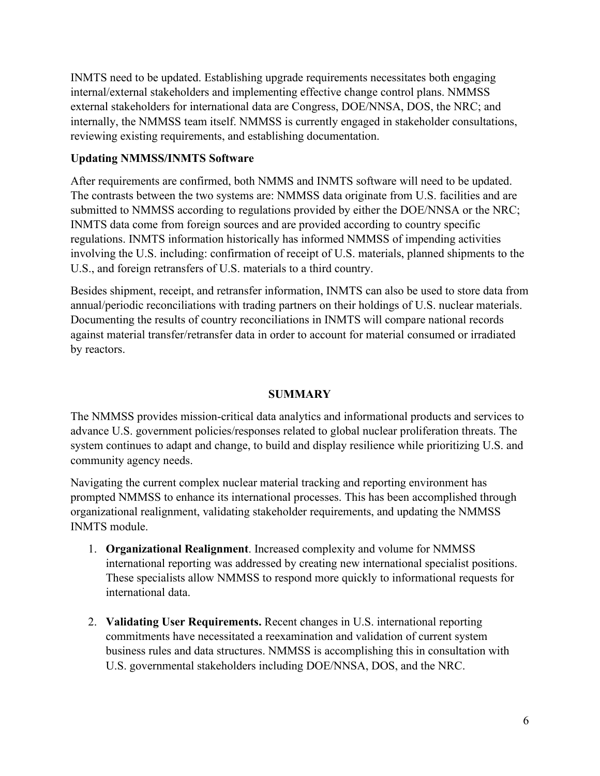INMTS need to be updated. Establishing upgrade requirements necessitates both engaging internal/external stakeholders and implementing effective change control plans. NMMSS external stakeholders for international data are Congress, DOE/NNSA, DOS, the NRC; and internally, the NMMSS team itself. NMMSS is currently engaged in stakeholder consultations, reviewing existing requirements, and establishing documentation.

### **Updating NMMSS/INMTS Software**

After requirements are confirmed, both NMMS and INMTS software will need to be updated. The contrasts between the two systems are: NMMSS data originate from U.S. facilities and are submitted to NMMSS according to regulations provided by either the DOE/NNSA or the NRC; INMTS data come from foreign sources and are provided according to country specific regulations. INMTS information historically has informed NMMSS of impending activities involving the U.S. including: confirmation of receipt of U.S. materials, planned shipments to the U.S., and foreign retransfers of U.S. materials to a third country.

Besides shipment, receipt, and retransfer information, INMTS can also be used to store data from annual/periodic reconciliations with trading partners on their holdings of U.S. nuclear materials. Documenting the results of country reconciliations in INMTS will compare national records against material transfer/retransfer data in order to account for material consumed or irradiated by reactors.

## **SUMMARY**

The NMMSS provides mission-critical data analytics and informational products and services to advance U.S. government policies/responses related to global nuclear proliferation threats. The system continues to adapt and change, to build and display resilience while prioritizing U.S. and community agency needs.

Navigating the current complex nuclear material tracking and reporting environment has prompted NMMSS to enhance its international processes. This has been accomplished through organizational realignment, validating stakeholder requirements, and updating the NMMSS INMTS module.

- 1. **Organizational Realignment**. Increased complexity and volume for NMMSS international reporting was addressed by creating new international specialist positions. These specialists allow NMMSS to respond more quickly to informational requests for international data.
- 2. **Validating User Requirements.** Recent changes in U.S. international reporting commitments have necessitated a reexamination and validation of current system business rules and data structures. NMMSS is accomplishing this in consultation with U.S. governmental stakeholders including DOE/NNSA, DOS, and the NRC.